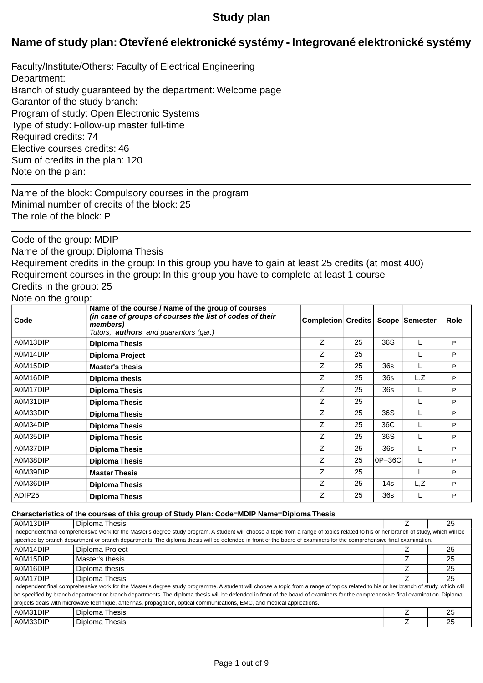# **Study plan**

# **Name of study plan: Otev ené elektronické systémy - Integrované elektronické systémy**

Faculty/Institute/Others: Faculty of Electrical Engineering Department: Branch of study guaranteed by the department: Welcome page Garantor of the study branch: Program of study: Open Electronic Systems Type of study: Follow-up master full-time Required credits: 74 Elective courses credits: 46 Sum of credits in the plan: 120 Note on the plan:

Name of the block: Compulsory courses in the program Minimal number of credits of the block: 25 The role of the block: P

Code of the group: MDIP

Name of the group: Diploma Thesis

Requirement credits in the group: In this group you have to gain at least 25 credits (at most 400) Requirement courses in the group: In this group you have to complete at least 1 course Credits in the group: 25

## Note on the group:

| Code     | Name of the course / Name of the group of courses<br>(in case of groups of courses the list of codes of their<br>members)<br>Tutors, <b>authors</b> and guarantors (gar.) | Completion Credits |    |        | Scope Semester | <b>Role</b> |
|----------|---------------------------------------------------------------------------------------------------------------------------------------------------------------------------|--------------------|----|--------|----------------|-------------|
| A0M13DIP | <b>Diploma Thesis</b>                                                                                                                                                     | Z                  | 25 | 36S    |                | P           |
| A0M14DIP | Diploma Project                                                                                                                                                           | Ζ                  | 25 |        |                | P           |
| A0M15DIP | <b>Master's thesis</b>                                                                                                                                                    | Ζ                  | 25 | 36s    |                | P           |
| A0M16DIP | <b>Diploma thesis</b>                                                                                                                                                     | Z                  | 25 | 36s    | L, Z           | P           |
| A0M17DIP | <b>Diploma Thesis</b>                                                                                                                                                     | Z                  | 25 | 36s    |                | P           |
| A0M31DIP | <b>Diploma Thesis</b>                                                                                                                                                     | Z                  | 25 |        |                | P           |
| A0M33DIP | <b>Diploma Thesis</b>                                                                                                                                                     | Z                  | 25 | 36S    |                | P           |
| A0M34DIP | <b>Diploma Thesis</b>                                                                                                                                                     | Ζ                  | 25 | 36C    |                | P           |
| A0M35DIP | <b>Diploma Thesis</b>                                                                                                                                                     | Z                  | 25 | 36S    |                | P           |
| A0M37DIP | <b>Diploma Thesis</b>                                                                                                                                                     | Z                  | 25 | 36s    |                | P           |
| A0M38DIP | <b>Diploma Thesis</b>                                                                                                                                                     | Z                  | 25 | 0P+36C |                | P           |
| A0M39DIP | <b>Master Thesis</b>                                                                                                                                                      | Z                  | 25 |        |                | P           |
| A0M36DIP | <b>Diploma Thesis</b>                                                                                                                                                     | Z                  | 25 | 14s    | L,Z            | P           |
| ADIP25   | <b>Diploma Thesis</b>                                                                                                                                                     | Z                  | 25 | 36s    |                | P           |

#### **Characteristics of the courses of this group of Study Plan: Code=MDIP Name=Diploma Thesis**

| A0M13DIP                                                                                                                                                              | Diploma Thesis                                                                                                                                                                        |  | 25 |  |  |
|-----------------------------------------------------------------------------------------------------------------------------------------------------------------------|---------------------------------------------------------------------------------------------------------------------------------------------------------------------------------------|--|----|--|--|
|                                                                                                                                                                       | Independent final comprehensive work for the Master's degree study program. A student will choose a topic from a range of topics related to his or her branch of study, which will be |  |    |  |  |
| specified by branch department or branch departments. The diploma thesis will be defended in front of the board of examiners for the comprehensive final examination. |                                                                                                                                                                                       |  |    |  |  |
| A0M14DIP<br>Diploma Project<br>25                                                                                                                                     |                                                                                                                                                                                       |  |    |  |  |
| A0M15DIP                                                                                                                                                              | Master's thesis                                                                                                                                                                       |  | 25 |  |  |
| A0M16DIP                                                                                                                                                              | Diploma thesis                                                                                                                                                                        |  | 25 |  |  |
| A0M17DIP                                                                                                                                                              | Diploma Thesis                                                                                                                                                                        |  | 25 |  |  |
|                                                                                                                                                                       | Independent final comprehensive work for the Master's degree study programme. A student will choose a topic from a range of topics related to his or her branch of study, which will  |  |    |  |  |
|                                                                                                                                                                       | be specified by branch department or branch departments. The diploma thesis will be defended in front of the board of examiners for the comprehensive final examination. Diploma      |  |    |  |  |
|                                                                                                                                                                       | projects deals with microwave technique, antennas, propagation, optical communications, EMC, and medical applications.                                                                |  |    |  |  |
| A0M31DIP                                                                                                                                                              | Diploma Thesis                                                                                                                                                                        |  | 25 |  |  |
| A0M33DIP                                                                                                                                                              | Diploma Thesis                                                                                                                                                                        |  | 25 |  |  |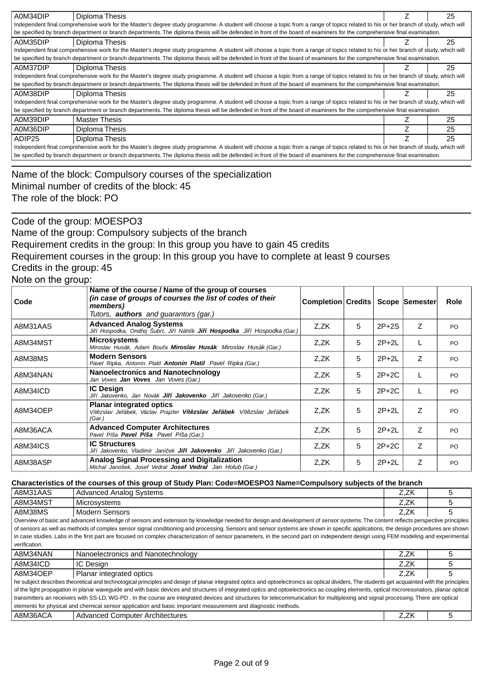| A0M34DIP                                                                                                                                                                             | Diploma Thesis                                                                                                                                                                       |  | 25 |  |
|--------------------------------------------------------------------------------------------------------------------------------------------------------------------------------------|--------------------------------------------------------------------------------------------------------------------------------------------------------------------------------------|--|----|--|
|                                                                                                                                                                                      | Independent final comprehensive work for the Master's degree study programme. A student will choose a topic from a range of topics related to his or her branch of study, which will |  |    |  |
|                                                                                                                                                                                      |                                                                                                                                                                                      |  |    |  |
| be specified by branch department or branch departments. The diploma thesis will be defended in front of the board of examiners for the comprehensive final examination.             |                                                                                                                                                                                      |  |    |  |
| A0M35DIP<br>Diploma Thesis<br>25                                                                                                                                                     |                                                                                                                                                                                      |  |    |  |
|                                                                                                                                                                                      | Independent final comprehensive work for the Master's degree study programme. A student will choose a topic from a range of topics related to his or her branch of study, which will |  |    |  |
|                                                                                                                                                                                      | be specified by branch department or branch departments. The diploma thesis will be defended in front of the board of examiners for the comprehensive final examination.             |  |    |  |
| A0M37DIP                                                                                                                                                                             | Diploma Thesis                                                                                                                                                                       |  | 25 |  |
|                                                                                                                                                                                      | Independent final comprehensive work for the Master's degree study programme. A student will choose a topic from a range of topics related to his or her branch of study, which will |  |    |  |
|                                                                                                                                                                                      | be specified by branch department or branch departments. The diploma thesis will be defended in front of the board of examiners for the comprehensive final examination.             |  |    |  |
| A0M38DIP                                                                                                                                                                             | Diploma Thesis                                                                                                                                                                       |  | 25 |  |
|                                                                                                                                                                                      | Independent final comprehensive work for the Master's degree study programme. A student will choose a topic from a range of topics related to his or her branch of study, which will |  |    |  |
|                                                                                                                                                                                      | be specified by branch department or branch departments. The diploma thesis will be defended in front of the board of examiners for the comprehensive final examination.             |  |    |  |
| A0M39DIP                                                                                                                                                                             | <b>Master Thesis</b>                                                                                                                                                                 |  | 25 |  |
| A0M36DIP                                                                                                                                                                             | Diploma Thesis                                                                                                                                                                       |  | 25 |  |
| ADIP <sub>25</sub>                                                                                                                                                                   | Diploma Thesis                                                                                                                                                                       |  | 25 |  |
| Independent final comprehensive work for the Master's degree study programme. A student will choose a topic from a range of topics related to his or her branch of study, which will |                                                                                                                                                                                      |  |    |  |
|                                                                                                                                                                                      | be specified by branch department or branch departments. The diploma thesis will be defended in front of the board of examiners for the comprehensive final examination.             |  |    |  |

Name of the block: Compulsory courses of the specialization Minimal number of credits of the block: 45 The role of the block: PO

Code of the group: MOESPO3

Name of the group: Compulsory subjects of the branch

Requirement credits in the group: In this group you have to gain 45 credits

Requirement courses in the group: In this group you have to complete at least 9 courses

Credits in the group: 45

Note on the group:

| ັ        |                                                                                                                                                                           |                    |   |         |                |             |
|----------|---------------------------------------------------------------------------------------------------------------------------------------------------------------------------|--------------------|---|---------|----------------|-------------|
| Code     | Name of the course / Name of the group of courses<br>(in case of groups of courses the list of codes of their<br>members)<br>Tutors, <b>authors</b> and quarantors (gar.) | Completion Credits |   |         | Scope Semester | <b>Role</b> |
| A8M31AAS | <b>Advanced Analog Systems</b><br>Ji í Hospodka, Ond ej Šubrt, Ji í Náhlík <b>Ji í Hospodka</b> Ji í Hospodka (Gar.)                                                      | Z.ZK               | 5 | $2P+2S$ | Z              | PO.         |
| A8M34MST | <b>Microsystems</b><br>Miroslav Husák, Adam Bou a <b>Miroslav Husák</b> Miroslav Husák (Gar.)                                                                             | Z.ZK               | 5 | $2P+2L$ |                | <b>PO</b>   |
| A8M38MS  | <b>Modern Sensors</b><br>Pavel Ripka, Antonín Platil <b>Antonín Platil</b> Pavel Ripka (Gar.)                                                                             | Z,ZK               | 5 | $2P+2L$ | Z              | PO          |
| A8M34NAN | <b>Nanoelectronics and Nanotechnology</b><br>Jan Voves <b>Jan Voves</b> Jan Voves (Gar.)                                                                                  | Z.ZK               | 5 | $2P+2C$ |                | PO.         |
| A8M34ICD | <b>IC Design</b><br>Ji í Jakovenko, Jan Novák <b>Ji í Jakovenko</b> Ji í Jakovenko (Gar.)                                                                                 | Z,ZK               | 5 | $2P+2C$ |                | PO.         |
| A8M34OEP | <b>Planar integrated optics</b><br>Vít zslav Je ábek, Václav Prajzler <b>Vít zslav Je ábek</b> Vít zslav Je ábek<br>(Gar.)                                                | Z.ZK               | 5 | $2P+2L$ | Z              | PO.         |
| A8M36ACA | <b>Advanced Computer Architectures</b><br>Pavel Píša Pavel Píša Pavel Píša (Gar.)                                                                                         | Z.ZK               | 5 | $2P+2L$ | Z              | PO.         |
| A8M34ICS | <b>IC Structures</b><br>Ji í Jakovenko, Vladimír Janí ek <b>Ji í Jakovenko</b> Ji í Jakovenko (Gar.)                                                                      | Z,ZK               | 5 | $2P+2C$ | Z              | PO          |
| A8M38ASP | Analog Signal Processing and Digitalization<br>Michal Janošek, Josef Vedral Josef Vedral Jan Holub (Gar.)                                                                 | Z,ZK               | 5 | $2P+2L$ | Z              | PO.         |

#### **Characteristics of the courses of this group of Study Plan: Code=MOESPO3 Name=Compulsory subjects of the branch**

| A8M31AAS                                                                                                                                                                           | <b>Advanced Analog Systems</b>                                                                                                                                                                | Z.ZK | ٠h |  |  |  |
|------------------------------------------------------------------------------------------------------------------------------------------------------------------------------------|-----------------------------------------------------------------------------------------------------------------------------------------------------------------------------------------------|------|----|--|--|--|
| A8M34MST                                                                                                                                                                           | Microsystems                                                                                                                                                                                  | Z.ZK |    |  |  |  |
| A8M38MS                                                                                                                                                                            | <b>Modern Sensors</b>                                                                                                                                                                         | Z.ZK | 5  |  |  |  |
| Overview of basic and advanced knowledge of sensors and extension by knowledge needed for design and development of sensor systems. The content reflects perspective principles    |                                                                                                                                                                                               |      |    |  |  |  |
| of sensors as well as methods of complex sensor signal conditioning and processing. Sensors and sensor systems are shown in specific applications, the design procedures are shown |                                                                                                                                                                                               |      |    |  |  |  |
|                                                                                                                                                                                    | in case studies. Labs in the first part are focused on complex characterization of sensor parameters, in the second part on independent design using FEM modeling and experimental            |      |    |  |  |  |
| verification.                                                                                                                                                                      |                                                                                                                                                                                               |      |    |  |  |  |
| A8M34NAN                                                                                                                                                                           | Nanoelectronics and Nanotechnology                                                                                                                                                            | Z.ZK | 5  |  |  |  |
| A8M34ICD                                                                                                                                                                           | IC Design                                                                                                                                                                                     | Z.ZK |    |  |  |  |
| A8M34OEP                                                                                                                                                                           | Planar integrated optics                                                                                                                                                                      | Z.ZK | 5  |  |  |  |
|                                                                                                                                                                                    | he subject describes theoretical and technological principles and design of planar integrated optics and optoelectronics as optical dividers, The students get acquainted with the principles |      |    |  |  |  |
|                                                                                                                                                                                    | of the light propagation in planar waveguide and with basic devices and structures of integrated optics and optoelectronics as coupling elements, optical microresonators, planar optical     |      |    |  |  |  |
| transmitters an receivers with SS-LD, WG-PD. In the course are integrated devices and structures for telecommunication for multiplexing and signal processing. There are optical   |                                                                                                                                                                                               |      |    |  |  |  |
|                                                                                                                                                                                    | elements for physical and chemical sensor application and basic important measurement and diagnostic methods.                                                                                 |      |    |  |  |  |
| A8M36ACA                                                                                                                                                                           | <b>Advanced Computer Architectures</b>                                                                                                                                                        | Z.ZK |    |  |  |  |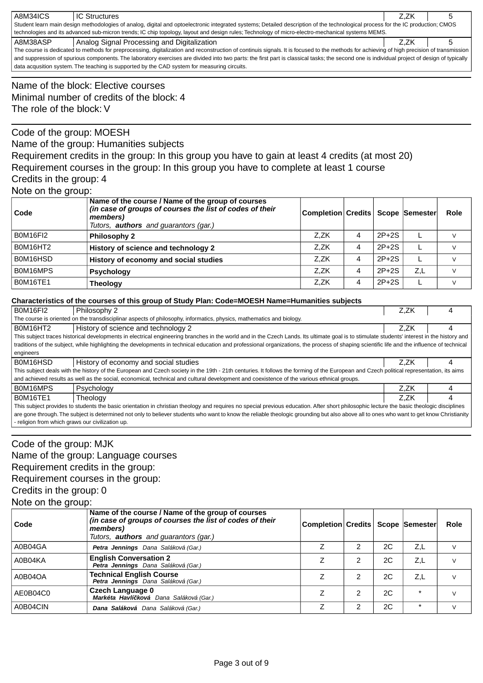| A8M34ICS                                                                                                                                                                                    | <b>IC Structures</b>                        | Z.ZK |  |  |  |
|---------------------------------------------------------------------------------------------------------------------------------------------------------------------------------------------|---------------------------------------------|------|--|--|--|
| Student learn main design methodologies of analog, digital and optoelectronic integrated systems; Detailed description of the technological process for the IC production; CMOS             |                                             |      |  |  |  |
| technologies and its advanced sub-micron trends; IC chip topology, layout and design rules; Technology of micro-electro-mechanical systems MEMS.                                            |                                             |      |  |  |  |
| A8M38ASP                                                                                                                                                                                    | Analog Signal Processing and Digitalization | Z.ZK |  |  |  |
| The course is dedicated to methods for preprocessing, digitalization and reconstruction of continuis signals. It is focused to the methods for achieving of high precision of transmission  |                                             |      |  |  |  |
| and suppression of spurious components. The laboratory exercises are divided into two parts: the first part is classical tasks; the second one is individual project of design of typically |                                             |      |  |  |  |
| data acqusition system. The teaching is supported by the CAD system for measuring circuits.                                                                                                 |                                             |      |  |  |  |

Name of the block: Elective courses Minimal number of credits of the block: 4 The role of the block: V

## Code of the group: MOESH

Name of the group: Humanities subjects

Requirement credits in the group: In this group you have to gain at least 4 credits (at most 20) Requirement courses in the group: In this group you have to complete at least 1 course Credits in the group: 4

## Note on the group:

| Code            | Name of the course / Name of the group of courses<br>(in case of groups of courses the list of codes of their<br>members)<br>Tutors, <b>authors</b> and guarantors (gar.) | Completion Credits   Scope   Semester |   |         |     | Role |
|-----------------|---------------------------------------------------------------------------------------------------------------------------------------------------------------------------|---------------------------------------|---|---------|-----|------|
| <b>B0M16FI2</b> | <b>Philosophy 2</b>                                                                                                                                                       | Z.ZK                                  | 4 | $2P+2S$ |     |      |
| B0M16HT2        | History of science and technology 2                                                                                                                                       | Z.ZK                                  | 4 | $2P+2S$ |     |      |
| B0M16HSD        | History of economy and social studies                                                                                                                                     | Z.ZK                                  | 4 | $2P+2S$ |     |      |
| B0M16MPS        | <b>Psychology</b>                                                                                                                                                         | Z.ZK                                  | 4 | $2P+2S$ | Z,L |      |
| <b>B0M16TE1</b> | <b>Theology</b>                                                                                                                                                           | Z.ZK                                  | 4 | $2P+2S$ |     |      |

### **Characteristics of the courses of this group of Study Plan: Code=MOESH Name=Humanities subjects**

| <b>B0M16FI2</b>                                                                                                                                                                             | Philosophy 2                                                                                                                                                                            | Z.ZK |  |  |  |
|---------------------------------------------------------------------------------------------------------------------------------------------------------------------------------------------|-----------------------------------------------------------------------------------------------------------------------------------------------------------------------------------------|------|--|--|--|
|                                                                                                                                                                                             | The course is oriented on the transdisciplinar aspects of philosophy, informatics, physics, mathematics and biology.                                                                    |      |  |  |  |
| B0M16HT2                                                                                                                                                                                    | History of science and technology 2                                                                                                                                                     | Z.ZK |  |  |  |
| This subject traces historical developments in electrical engineering branches in the world and in the Czech Lands. Its ultimate goal is to stimulate students' interest in the history and |                                                                                                                                                                                         |      |  |  |  |
| traditions of the subject, while highlighting the developments in technical education and professional organizations, the process of shaping scientific life and the influence of technical |                                                                                                                                                                                         |      |  |  |  |
| engineers                                                                                                                                                                                   |                                                                                                                                                                                         |      |  |  |  |
| B0M16HSD                                                                                                                                                                                    | History of economy and social studies                                                                                                                                                   | Z.ZK |  |  |  |
|                                                                                                                                                                                             | This subject deals with the history of the European and Czech society in the 19th - 21th centuries. It follows the forming of the European and Czech political representation, its aims |      |  |  |  |
|                                                                                                                                                                                             | and achieved results as well as the social, economical, technical and cultural development and coexistence of the various ethnical groups.                                              |      |  |  |  |
| B0M16MPS                                                                                                                                                                                    | Psychology                                                                                                                                                                              | Z.ZK |  |  |  |
| <b>B0M16TE1</b>                                                                                                                                                                             | Theology                                                                                                                                                                                | Z.ZK |  |  |  |
| This subject provides to students the basic orientation in christian theology and requires no special previous education. After short philosophic lecture the basic theologic disciplines   |                                                                                                                                                                                         |      |  |  |  |
| are gone through. The subject is determined not only to believer students who want to know the reliable theologic grounding but also above all to ones who want to get know Christianity    |                                                                                                                                                                                         |      |  |  |  |
| - religion from which graws our civilization up.                                                                                                                                            |                                                                                                                                                                                         |      |  |  |  |

# Code of the group: MJK Name of the group: Language courses Requirement credits in the group: Requirement courses in the group: Credits in the group: 0 Note on the group:

| Code     | Name of the course / Name of the group of courses<br>(in case of groups of courses the list of codes of their<br>members)<br>Tutors, <b>authors</b> and guarantors (gar.) | Completion Credits   Scope   Semester |   |    |         | Role |
|----------|---------------------------------------------------------------------------------------------------------------------------------------------------------------------------|---------------------------------------|---|----|---------|------|
| A0B04GA  | Petra Jennings Dana Saláková (Gar.)                                                                                                                                       |                                       | 2 | 2C | Z,L     |      |
| A0B04KA  | <b>English Conversation 2</b><br>Petra Jennings Dana Saláková (Gar.)                                                                                                      | 7                                     | 2 | 2C | Z,L     |      |
| A0B04OA  | <b>Technical English Course</b><br>Petra Jennings Dana Saláková (Gar.)                                                                                                    |                                       | 2 | 2C | Z,L     |      |
| AE0B04C0 | <b>Czech Language 0</b><br>Markéta Havlí ková Dana Saláková (Gar.)                                                                                                        | ⇁                                     | 2 | 2C | $\star$ |      |
| A0B04CIN | Dana Saláková Dana Saláková (Gar.)                                                                                                                                        | Z                                     | 2 | 2C | $\star$ |      |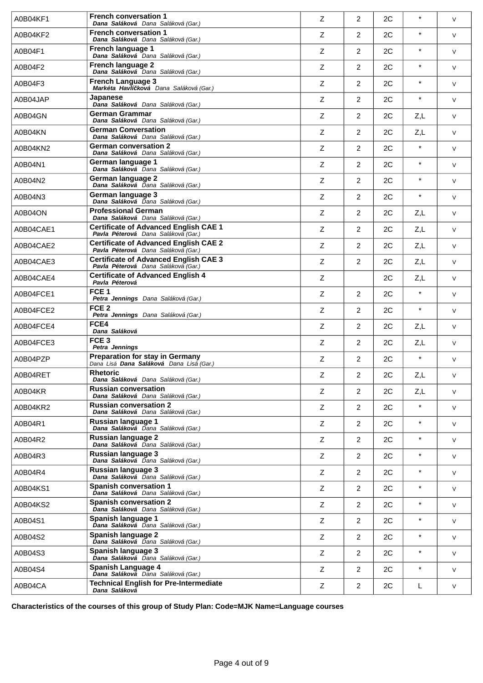| A0B04KF1  | <b>French conversation 1</b><br>Dana Saláková Dana Saláková (Gar.)                        | Z | 2                       | 2C | $\star$  | V      |
|-----------|-------------------------------------------------------------------------------------------|---|-------------------------|----|----------|--------|
| A0B04KF2  | <b>French conversation 1</b><br>Dana Saláková Dana Saláková (Gar.)                        | Z | $\overline{2}$          | 2C | $\star$  | V      |
| A0B04F1   | French language 1<br>Dana Saláková Dana Saláková (Gar.)                                   | Ζ | $\overline{2}$          | 2C | $\star$  | V      |
| A0B04F2   | <b>French language 2</b><br>Dana Saláková Dana Saláková (Gar.)                            | Z | $\overline{2}$          | 2C | $\star$  | V      |
| A0B04F3   | <b>French Language 3</b><br>Markéta Havlí ková Dana Saláková (Gar.)                       | Z | 2                       | 2C | $\star$  | V      |
| A0B04JAP  | Japanese<br>Dana Saláková Dana Saláková (Gar.)                                            | Z | 2                       | 2C | $\star$  | V      |
| A0B04GN   | German Grammar<br>Dana Saláková Dana Saláková (Gar.)                                      | Z | 2                       | 2C | Z,L      | V      |
| A0B04KN   | <b>German Conversation</b><br>Dana Saláková Dana Saláková (Gar.)                          | Z | $\overline{2}$          | 2C | Z,L      | V      |
| A0B04KN2  | <b>German conversation 2</b><br>Dana Saláková Dana Saláková (Gar.)                        | Z | $\overline{2}$          | 2C | $\star$  | V      |
| A0B04N1   | German language 1<br>Dana Saláková Dana Saláková (Gar.)                                   | Z | $\overline{2}$          | 2C | $\star$  | V      |
| A0B04N2   | German language 2<br>Dana Saláková Dana Saláková (Gar.)                                   | Z | $\overline{2}$          | 2C | $\star$  | V      |
| A0B04N3   | German language 3<br>Dana Saláková Dana Saláková (Gar.)                                   | Ζ | $\overline{2}$          | 2C | $\star$  | V      |
| A0B04ON   | <b>Professional German</b><br>Dana Saláková Dana Saláková (Gar.)                          | Z | 2                       | 2C | Z,L      | V      |
| A0B04CAE1 | <b>Certificate of Advanced English CAE 1</b><br>Pavla Péterová Dana Saláková (Gar.)       | Z | $\overline{2}$          | 2C | Z,L      | V      |
| A0B04CAE2 | <b>Certificate of Advanced English CAE 2</b><br>Pavla Péterová Dana Saláková (Gar.)       | Z | $\overline{2}$          | 2C | Z,L      | V      |
| A0B04CAE3 | <b>Certificate of Advanced English CAE 3</b><br>Pavla Péterová Dana Saláková (Gar.)       | Ζ | 2                       | 2C | Z,L      | V      |
| A0B04CAE4 | <b>Certificate of Advanced English 4</b><br>Pavla Péterová                                | Z |                         | 2C | Z,L      | V      |
| A0B04FCE1 | FCE <sub>1</sub><br>Petra Jennings Dana Saláková (Gar.)                                   | Ζ | 2                       | 2C | $\star$  | V      |
| A0B04FCE2 | FCE <sub>2</sub><br>Petra Jennings Dana Saláková (Gar.)                                   | Ζ | $\overline{2}$          | 2C | $\star$  | V      |
| A0B04FCE4 | FCE4<br>Dana Saláková                                                                     | Z | 2                       | 2C | Z,L      | V      |
| A0B04FCE3 | FCE <sub>3</sub><br>Petra Jennings                                                        | Ζ | 2                       | 2C | Z,L      | V      |
| A0B04PZP  | <b>Preparation for stay in Germany</b><br>Dana Lisá <b>Dana Saláková</b> Dana Lisá (Gar.) | Ζ | 2                       | 2C | $\star$  | V      |
| A0B04RET  | <b>Rhetoric</b><br>Dana Saláková Dana Saláková (Gar.)                                     | Ζ | $\overline{\mathbf{c}}$ | 2C | Z,L      | $\vee$ |
| A0B04KR   | <b>Russian conversation</b><br>Dana Saláková Dana Saláková (Gar.)                         | Z | 2                       | 2C | Z,L      | V      |
| A0B04KR2  | <b>Russian conversation 2</b><br>Dana Saláková Dana Saláková (Gar.)                       | Z | 2                       | 2C | $\star$  | V      |
| A0B04R1   | Russian language 1<br>Dana Saláková Dana Saláková (Gar.)                                  | Z | $\overline{2}$          | 2C | $\star$  | V      |
| A0B04R2   | <b>Russian language 2</b><br>Dana Saláková Dana Saláková (Gar.)                           | Z | $\overline{2}$          | 2C | $\star$  | V      |
| A0B04R3   | Russian language 3<br>Dana Saláková Dana Saláková (Gar.)                                  | Z | 2                       | 2C | $^\star$ | V      |
| A0B04R4   | <b>Russian language 3</b><br>Dana Saláková Dana Saláková (Gar.)                           | Ζ | $\overline{2}$          | 2C | $\star$  | V      |
| A0B04KS1  | <b>Spanish conversation 1</b><br>Dana Saláková Dana Saláková (Gar.)                       | Ζ | $\overline{2}$          | 2C | $\star$  | V      |
| A0B04KS2  | <b>Spanish conversation 2</b><br>Dana Saláková Dana Saláková (Gar.)                       | Z | 2                       | 2C | $\star$  | V      |
| A0B04S1   | Spanish language 1<br>Dana Saláková Dana Saláková (Gar.)                                  | Z | $\overline{2}$          | 2C | $\star$  | V      |
| A0B04S2   | Spanish language 2<br>Dana Saláková Dana Saláková (Gar.)                                  | Z | $\overline{2}$          | 2C | $\star$  | V      |
| A0B04S3   | Spanish language 3<br>Dana Saláková Dana Saláková (Gar.)                                  | Ζ | 2                       | 2C | $\star$  | V      |
| A0B04S4   | Spanish Language 4<br>Dana Saláková Dana Saláková (Gar.)                                  | Ζ | 2                       | 2C | $\star$  | V      |
| A0B04CA   | <b>Technical English for Pre-Intermediate</b><br>Dana Saláková                            | Z | $\overline{2}$          | 2C | L        | V      |

**Characteristics of the courses of this group of Study Plan: Code=MJK Name=Language courses**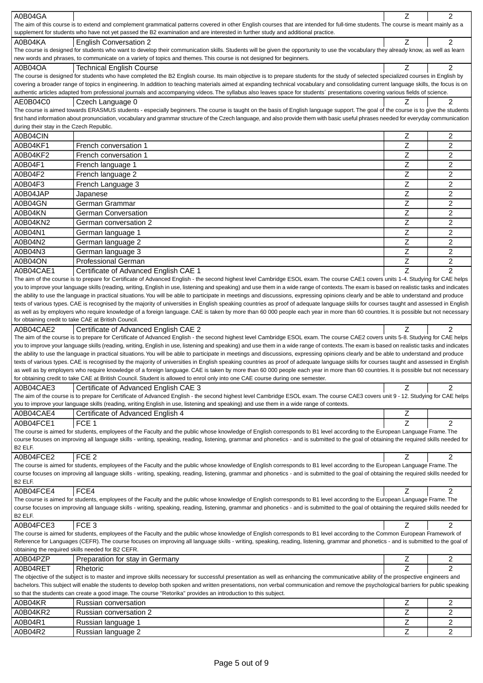| A0B04GA                                  |                                                                                                                                                                                             | Z                | $\overline{c}$      |
|------------------------------------------|---------------------------------------------------------------------------------------------------------------------------------------------------------------------------------------------|------------------|---------------------|
|                                          | The aim of this course is to extend and complement grammatical patterns covered in other English courses that are intended for full-time students. The course is meant mainly as a          |                  |                     |
|                                          | supplement for students who have not yet passed the B2 examination and are interested in further study and additional practice.                                                             |                  |                     |
| A0B04KA                                  | <b>English Conversation 2</b>                                                                                                                                                               | Ζ                | $\overline{2}$      |
|                                          | The course is designed for students who want to develop their communication skills. Students will be given the opportunity to use the vocabulary they already know, as well as learn        |                  |                     |
|                                          | new words and phrases, to communicate on a variety of topics and themes. This course is not designed for beginners.                                                                         |                  |                     |
| A0B04OA                                  | <b>Technical English Course</b>                                                                                                                                                             | Ζ                | $\overline{2}$      |
|                                          |                                                                                                                                                                                             |                  |                     |
|                                          | The course is designed for students who have completed the B2 English course. Its main objective is to prepare students for the study of selected specialized courses in English by         |                  |                     |
|                                          | covering a broader range of topics in engineering. In addition to teaching materials aimed at expanding technical vocabulary and consolidating current language skills, the focus is on     |                  |                     |
|                                          | authentic articles adapted from professional journals and accompanying videos. The syllabus also leaves space for students' presentations covering various fields of science.               |                  |                     |
| AE0B04C0                                 | Czech Language 0                                                                                                                                                                            | Z                | 2                   |
|                                          | The course is aimed towards ERASMUS students - especially beginners. The course is taught on the basis of English language support. The goal of the course is to give the students          |                  |                     |
|                                          | first hand information about pronunciation, vocabulary and grammar structure of the Czech language, and also provide them with basic useful phrases needed for everyday communication       |                  |                     |
| during their stay in the Czech Republic. |                                                                                                                                                                                             |                  |                     |
| A0B04CIN                                 |                                                                                                                                                                                             | Z                | 2                   |
|                                          |                                                                                                                                                                                             |                  |                     |
| A0B04KF1                                 | French conversation 1                                                                                                                                                                       | Z                | 2                   |
| A0B04KF2                                 | French conversation 1                                                                                                                                                                       | Z                | 2                   |
| A0B04F1                                  | French language 1                                                                                                                                                                           | Z                | $\overline{2}$      |
|                                          |                                                                                                                                                                                             |                  |                     |
| A0B04F2                                  | French language 2                                                                                                                                                                           | Ζ                | 2                   |
| A0B04F3                                  | French Language 3                                                                                                                                                                           | Ζ                | 2                   |
| A0B04JAP                                 | Japanese                                                                                                                                                                                    | Z                | 2                   |
| A0B04GN                                  | German Grammar                                                                                                                                                                              | Ζ                | 2                   |
|                                          |                                                                                                                                                                                             |                  |                     |
| A0B04KN                                  | <b>German Conversation</b>                                                                                                                                                                  | Ζ                | $\overline{c}$      |
| A0B04KN2                                 | German conversation 2                                                                                                                                                                       | Z                | $\overline{c}$      |
| A0B04N1                                  | German language 1                                                                                                                                                                           | Z                | $\overline{c}$      |
|                                          |                                                                                                                                                                                             |                  |                     |
| A0B04N2                                  | German language 2                                                                                                                                                                           | Z                | $\overline{c}$      |
| A0B04N3                                  | German language 3                                                                                                                                                                           | Z                | $\overline{c}$      |
| A0B04ON                                  | <b>Professional German</b>                                                                                                                                                                  | Ζ                | $\overline{c}$      |
| A0B04CAE1                                |                                                                                                                                                                                             | Z                | $\overline{2}$      |
|                                          | Certificate of Advanced English CAE 1                                                                                                                                                       |                  |                     |
|                                          | The aim of the course is to prepare for Certificate of Advanced English - the second highest level Cambridge ESOL exam. The course CAE1 covers units 1-4. Studying for CAE helps            |                  |                     |
|                                          | you to improve your language skills (reading, writing, English in use, listening and speaking) and use them in a wide range of contexts. The exam is based on realistic tasks and indicates |                  |                     |
|                                          | the ability to use the language in practical situations. You will be able to participate in meetings and discussions, expressing opinions clearly and be able to understand and produce     |                  |                     |
|                                          | texts of various types. CAE is recognised by the majority of universities in English speaking countries as proof of adequate language skills for courses taught and assessed in English     |                  |                     |
|                                          | as well as by employers who require knowledge of a foreign language. CAE is taken by more than 60 000 people each year in more than 60 countries. It is possible but not necessary          |                  |                     |
|                                          |                                                                                                                                                                                             |                  |                     |
|                                          | for obtaining credit to take CAE at British Council.                                                                                                                                        |                  |                     |
|                                          |                                                                                                                                                                                             |                  |                     |
| A0B04CAE2                                | Certificate of Advanced English CAE 2                                                                                                                                                       | Z                | $\overline{2}$      |
|                                          | The aim of the course is to prepare for Certificate of Advanced English - the second highest level Cambridge ESOL exam. The course CAE2 covers units 5-8. Studying for CAE helps            |                  |                     |
|                                          | you to improve your language skills (reading, writing, English in use, listening and speaking) and use them in a wide range of contexts. The exam is based on realistic tasks and indicates |                  |                     |
|                                          | the ability to use the language in practical situations. You will be able to participate in meetings and discussions, expressing opinions clearly and be able to understand and produce     |                  |                     |
|                                          | texts of various types. CAE is recognised by the majority of universities in English speaking countries as proof of adequate language skills for courses taught and assessed in English     |                  |                     |
|                                          | as well as by employers who require knowledge of a foreign language. CAE is taken by more than 60 000 people each year in more than 60 countries. It is possible but not necessary          |                  |                     |
|                                          | for obtaining credit to take CAE at British Council. Student is allowed to enrol only into one CAE course during one semester.                                                              |                  |                     |
| A0B04CAE3                                | Certificate of Advanced English CAE 3                                                                                                                                                       | Z                | $\overline{2}$      |
|                                          |                                                                                                                                                                                             |                  |                     |
|                                          | The aim of the course is to prepare for Certificate of Advanced English - the second highest level Cambridge ESOL exam. The course CAE3 covers unit 9 - 12. Studying for CAE helps          |                  |                     |
|                                          | you to improve your language skills (reading, writing English in use, listening and speaking) and use them in a wide range of contexts.                                                     |                  |                     |
| A0B04CAE4                                | Certificate of Advanced English 4                                                                                                                                                           | Z                |                     |
| A0B04FCE1                                | FCE <sub>1</sub>                                                                                                                                                                            | Z                | $\overline{c}$      |
|                                          | The course is aimed for students, employees of the Faculty and the public whose knowledge of English corresponds to B1 level according to the European Language Frame. The                  |                  |                     |
|                                          | course focuses on improving all language skills - writing, speaking, reading, listening, grammar and phonetics - and is submitted to the goal of obtaining the required skills needed for   |                  |                     |
| B <sub>2</sub> ELF.                      |                                                                                                                                                                                             |                  |                     |
|                                          |                                                                                                                                                                                             |                  |                     |
| A0B04FCE2                                | FCE <sub>2</sub>                                                                                                                                                                            | Z                | $\overline{2}$      |
|                                          | The course is aimed for students, employees of the Faculty and the public whose knowledge of English corresponds to B1 level according to the European Language Frame. The                  |                  |                     |
|                                          | course focuses on improving all language skills - writing, speaking, reading, listening, grammar and phonetics - and is submitted to the goal of obtaining the required skills needed for   |                  |                     |
| B <sub>2</sub> ELF.                      |                                                                                                                                                                                             |                  |                     |
| A0B04FCE4                                | FCE4                                                                                                                                                                                        | Z                | $\overline{2}$      |
|                                          | The course is aimed for students, employees of the Faculty and the public whose knowledge of English corresponds to B1 level according to the European Language Frame. The                  |                  |                     |
|                                          | course focuses on improving all language skills - writing, speaking, reading, listening, grammar and phonetics - and is submitted to the goal of obtaining the required skills needed for   |                  |                     |
| B <sub>2</sub> ELF.                      |                                                                                                                                                                                             |                  |                     |
|                                          |                                                                                                                                                                                             |                  |                     |
| A0B04FCE3                                | FCE <sub>3</sub>                                                                                                                                                                            | Z                | $\overline{2}$      |
|                                          | The course is aimed for students, employees of the Faculty and the public whose knowledge of English corresponds to B1 level according to the Common European Framework of                  |                  |                     |
|                                          | Reference for Languages (CEFR). The course focuses on improving all language skills - writing, speaking, reading, listening, grammar and phonetics - and is submitted to the goal of        |                  |                     |
|                                          | obtaining the required skills needed for B2 CEFR.                                                                                                                                           |                  |                     |
| A0B04PZP                                 | Preparation for stay in Germany                                                                                                                                                             | Z                | 2                   |
| A0B04RET                                 | Rhetoric                                                                                                                                                                                    | Z                | $\overline{2}$      |
|                                          |                                                                                                                                                                                             |                  |                     |
|                                          | The objective of the subject is to master and improve skills necessary for successful presentation as well as enhancing the communicative ability of the prospective engineers and          |                  |                     |
|                                          | bachelors. This subject will enable the students to develop both spoken and written presentations, non verbal communication and remove the psychological barriers for public speaking       |                  |                     |
|                                          | so that the students can create a good image. The course "Retorika" provides an introduction to this subject.                                                                               |                  |                     |
| A0B04KR                                  | Russian conversation                                                                                                                                                                        | $\mathsf Z$      | 2                   |
| A0B04KR2                                 | Russian conversation 2                                                                                                                                                                      | Z                | 2                   |
|                                          |                                                                                                                                                                                             |                  |                     |
| A0B04R1<br>A0B04R2                       | Russian language 1<br>Russian language 2                                                                                                                                                    | $\mathsf Z$<br>Z | 2<br>$\overline{c}$ |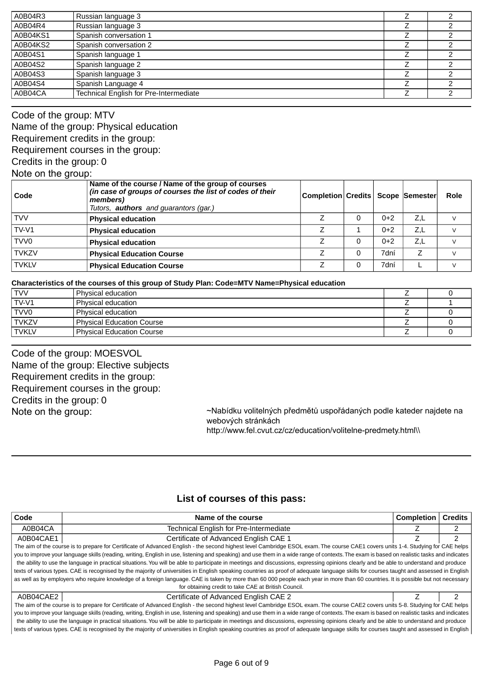| Russian language 3                     |                    |  |
|----------------------------------------|--------------------|--|
| Spanish conversation 1                 |                    |  |
| Spanish conversation 2                 |                    |  |
| Spanish language 1                     |                    |  |
| Spanish language 2                     |                    |  |
| Spanish language 3                     |                    |  |
| Spanish Language 4                     |                    |  |
| Technical English for Pre-Intermediate |                    |  |
|                                        | Russian language 3 |  |

Code of the group: MTV Name of the group: Physical education Requirement credits in the group: Requirement courses in the group: Credits in the group: 0 Note on the group:

| ີ<br>Code         | Name of the course / Name of the group of courses<br>(in case of groups of courses the list of codes of their<br>members)<br>Tutors, <b>authors</b> and guarantors (gar.) | Completion Credits   Scope   Semester |   |       |     | Role |
|-------------------|---------------------------------------------------------------------------------------------------------------------------------------------------------------------------|---------------------------------------|---|-------|-----|------|
| <b>TVV</b>        | <b>Physical education</b>                                                                                                                                                 |                                       |   | $0+2$ | Z.L |      |
| TV-V <sub>1</sub> | <b>Physical education</b>                                                                                                                                                 |                                       |   | $0+2$ | Z.L |      |
| TVV <sub>0</sub>  | <b>Physical education</b>                                                                                                                                                 |                                       | 0 | $0+2$ | Z.L |      |
| <b>TVKZV</b>      | <b>Physical Education Course</b>                                                                                                                                          |                                       | 0 | 7dní  |     |      |
| <b>TVKLV</b>      | <b>Physical Education Course</b>                                                                                                                                          |                                       | 0 | 7dní  |     |      |

#### **Characteristics of the courses of this group of Study Plan: Code=MTV Name=Physical education**

| <b>TVV</b>   | Physical education               |  |
|--------------|----------------------------------|--|
| TV-V1        | Physical education               |  |
| TVV0         | Physical education               |  |
| <b>TVKZV</b> | <b>Physical Education Course</b> |  |
| <b>TVKLV</b> | <b>Physical Education Course</b> |  |

Code of the group: MOESVOL Name of the group: Elective subjects Requirement credits in the group: Requirement courses in the group: Credits in the group: 0 Note on the group:

~Nabídku volitelných předmětů uspořádaných podle kateder najdete na webových stránkách

http://www.fel.cvut.cz/cz/education/volitelne-predmety.html\\

## **List of courses of this pass:**

| Code                                                                                                                                                                                        | Name of the course                                   |  | <b>Credits</b> |
|---------------------------------------------------------------------------------------------------------------------------------------------------------------------------------------------|------------------------------------------------------|--|----------------|
| A0B04CA                                                                                                                                                                                     | Technical English for Pre-Intermediate               |  |                |
| A0B04CAE1                                                                                                                                                                                   | Certificate of Advanced English CAE 1                |  | 2              |
| The aim of the course is to prepare for Certificate of Advanced English - the second highest level Cambridge ESOL exam. The course CAE1 covers units 1-4. Studying for CAE helps            |                                                      |  |                |
| you to improve your language skills (reading, writing, English in use, listening and speaking) and use them in a wide range of contexts. The exam is based on realistic tasks and indicates |                                                      |  |                |
| the ability to use the language in practical situations. You will be able to participate in meetings and discussions, expressing opinions clearly and be able to understand and produce     |                                                      |  |                |
| texts of various types. CAE is recognised by the majority of universities in English speaking countries as proof of adequate language skills for courses taught and assessed in English     |                                                      |  |                |
| as well as by employers who require knowledge of a foreign language. CAE is taken by more than 60 000 people each year in more than 60 countries. It is possible but not necessary          |                                                      |  |                |
|                                                                                                                                                                                             | for obtaining credit to take CAE at British Council. |  |                |
| A0B04CAE2                                                                                                                                                                                   | Certificate of Advanced English CAE 2                |  | 2              |
| The aim of the course is to prepare for Certificate of Advanced English - the second highest level Cambridge ESOL exam. The course CAE2 covers units 5-8. Studying for CAE helps            |                                                      |  |                |
| you to improve your language skills (reading, writing, English in use, listening and speaking) and use them in a wide range of contexts. The exam is based on realistic tasks and indicates |                                                      |  |                |
| the ability to use the language in practical situations. You will be able to participate in meetings and discussions, expressing opinions clearly and be able to understand and produce     |                                                      |  |                |
| texts of various types. CAE is recognised by the majority of universities in English speaking countries as proof of adequate language skills for courses taught and assessed in English     |                                                      |  |                |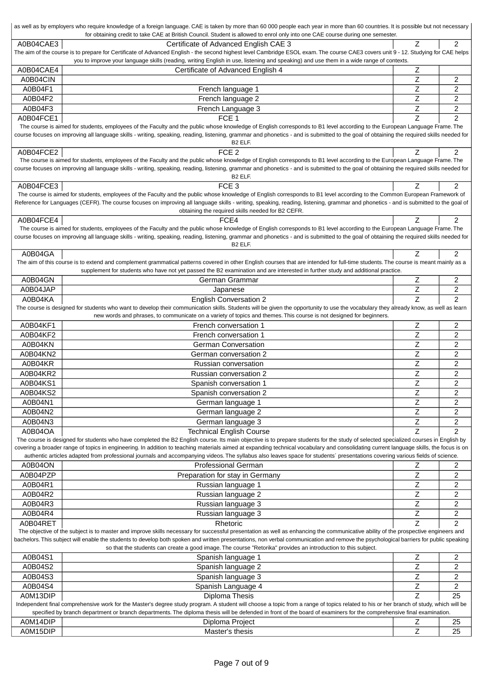|                                                                                                                                                                       | as well as by employers who require knowledge of a foreign language. CAE is taken by more than 60 000 people each year in more than 60 countries. It is possible but not necessary<br>for obtaining credit to take CAE at British Council. Student is allowed to enrol only into one CAE course during one semester. |                           |                |  |
|-----------------------------------------------------------------------------------------------------------------------------------------------------------------------|----------------------------------------------------------------------------------------------------------------------------------------------------------------------------------------------------------------------------------------------------------------------------------------------------------------------|---------------------------|----------------|--|
| A0B04CAE3                                                                                                                                                             | Certificate of Advanced English CAE 3                                                                                                                                                                                                                                                                                | Z                         | $\overline{c}$ |  |
|                                                                                                                                                                       | The aim of the course is to prepare for Certificate of Advanced English - the second highest level Cambridge ESOL exam. The course CAE3 covers unit 9 - 12. Studying for CAE helps                                                                                                                                   |                           |                |  |
|                                                                                                                                                                       | you to improve your language skills (reading, writing English in use, listening and speaking) and use them in a wide range of contexts.                                                                                                                                                                              |                           |                |  |
| A0B04CAE4                                                                                                                                                             | Certificate of Advanced English 4                                                                                                                                                                                                                                                                                    | $\mathsf Z$               |                |  |
| A0B04CIN                                                                                                                                                              |                                                                                                                                                                                                                                                                                                                      | $\overline{z}$            | 2              |  |
| A0B04F1                                                                                                                                                               | French language 1                                                                                                                                                                                                                                                                                                    | Z                         | 2              |  |
| A0B04F2                                                                                                                                                               | French language 2                                                                                                                                                                                                                                                                                                    | Z                         | 2              |  |
| A0B04F3                                                                                                                                                               | French Language 3                                                                                                                                                                                                                                                                                                    | $\mathsf Z$               | $\overline{c}$ |  |
| A0B04FCE1                                                                                                                                                             | FCE <sub>1</sub>                                                                                                                                                                                                                                                                                                     | Z                         | $\overline{c}$ |  |
|                                                                                                                                                                       | The course is aimed for students, employees of the Faculty and the public whose knowledge of English corresponds to B1 level according to the European Language Frame. The                                                                                                                                           |                           |                |  |
|                                                                                                                                                                       | course focuses on improving all language skills - writing, speaking, reading, listening, grammar and phonetics - and is submitted to the goal of obtaining the required skills needed for<br>B <sub>2</sub> ELF.                                                                                                     |                           |                |  |
| A0B04FCE2                                                                                                                                                             | FCE <sub>2</sub>                                                                                                                                                                                                                                                                                                     | Z                         | $\overline{c}$ |  |
|                                                                                                                                                                       | The course is aimed for students, employees of the Faculty and the public whose knowledge of English corresponds to B1 level according to the European Language Frame. The                                                                                                                                           |                           |                |  |
|                                                                                                                                                                       | course focuses on improving all language skills - writing, speaking, reading, listening, grammar and phonetics - and is submitted to the goal of obtaining the required skills needed for                                                                                                                            |                           |                |  |
|                                                                                                                                                                       | B <sub>2</sub> ELF.                                                                                                                                                                                                                                                                                                  |                           |                |  |
| A0B04FCE3                                                                                                                                                             | FCE <sub>3</sub>                                                                                                                                                                                                                                                                                                     | Z                         | $\overline{2}$ |  |
|                                                                                                                                                                       | The course is aimed for students, employees of the Faculty and the public whose knowledge of English corresponds to B1 level according to the Common European Framework of                                                                                                                                           |                           |                |  |
|                                                                                                                                                                       | Reference for Languages (CEFR). The course focuses on improving all language skills - writing, speaking, reading, listening, grammar and phonetics - and is submitted to the goal of<br>obtaining the required skills needed for B2 CEFR.                                                                            |                           |                |  |
| A0B04FCE4                                                                                                                                                             | FCE4                                                                                                                                                                                                                                                                                                                 | Z                         | $\overline{c}$ |  |
|                                                                                                                                                                       | The course is aimed for students, employees of the Faculty and the public whose knowledge of English corresponds to B1 level according to the European Language Frame. The                                                                                                                                           |                           |                |  |
|                                                                                                                                                                       | course focuses on improving all language skills - writing, speaking, reading, listening, grammar and phonetics - and is submitted to the goal of obtaining the required skills needed for                                                                                                                            |                           |                |  |
|                                                                                                                                                                       | B <sub>2</sub> ELF.                                                                                                                                                                                                                                                                                                  |                           |                |  |
| A0B04GA                                                                                                                                                               |                                                                                                                                                                                                                                                                                                                      | Z                         | 2              |  |
|                                                                                                                                                                       | The aim of this course is to extend and complement grammatical patterns covered in other English courses that are intended for full-time students. The course is meant mainly as a                                                                                                                                   |                           |                |  |
|                                                                                                                                                                       | supplement for students who have not yet passed the B2 examination and are interested in further study and additional practice.                                                                                                                                                                                      |                           |                |  |
| A0B04GN                                                                                                                                                               | German Grammar                                                                                                                                                                                                                                                                                                       | Ζ                         | 2              |  |
| A0B04JAP                                                                                                                                                              | Japanese                                                                                                                                                                                                                                                                                                             | $\ensuremath{\mathsf{Z}}$ | 2              |  |
| A0B04KA                                                                                                                                                               | <b>English Conversation 2</b><br>The course is designed for students who want to develop their communication skills. Students will be given the opportunity to use the vocabulary they already know, as well as learn                                                                                                | $\overline{z}$            | $\overline{2}$ |  |
|                                                                                                                                                                       | new words and phrases, to communicate on a variety of topics and themes. This course is not designed for beginners.                                                                                                                                                                                                  |                           |                |  |
| A0B04KF1                                                                                                                                                              | French conversation 1                                                                                                                                                                                                                                                                                                | Z                         | 2              |  |
| A0B04KF2                                                                                                                                                              | French conversation 1                                                                                                                                                                                                                                                                                                | Ζ                         | 2              |  |
| A0B04KN                                                                                                                                                               | <b>German Conversation</b>                                                                                                                                                                                                                                                                                           | Ζ                         | 2              |  |
| A0B04KN2                                                                                                                                                              | German conversation 2                                                                                                                                                                                                                                                                                                | $\overline{z}$            | 2              |  |
| A0B04KR                                                                                                                                                               | Russian conversation                                                                                                                                                                                                                                                                                                 | $\mathsf Z$               | 2              |  |
| A0B04KR2                                                                                                                                                              | Russian conversation 2                                                                                                                                                                                                                                                                                               | $\mathsf Z$               | 2              |  |
| A0B04KS1                                                                                                                                                              | Spanish conversation 1                                                                                                                                                                                                                                                                                               | Z                         | $\overline{2}$ |  |
| A0B04KS2                                                                                                                                                              | Spanish conversation 2                                                                                                                                                                                                                                                                                               | $\mathsf Z$               | 2              |  |
| A0B04N1                                                                                                                                                               | German language 1                                                                                                                                                                                                                                                                                                    | Ζ                         | 2              |  |
| A0B04N2                                                                                                                                                               | German language 2                                                                                                                                                                                                                                                                                                    | $\mathsf Z$               | 2              |  |
| A0B04N3                                                                                                                                                               | German language 3                                                                                                                                                                                                                                                                                                    | $\mathsf Z$               | 2              |  |
| A0B04OA                                                                                                                                                               | <b>Technical English Course</b>                                                                                                                                                                                                                                                                                      | Z                         | $\overline{2}$ |  |
|                                                                                                                                                                       | The course is designed for students who have completed the B2 English course. Its main objective is to prepare students for the study of selected specialized courses in English by                                                                                                                                  |                           |                |  |
|                                                                                                                                                                       | covering a broader range of topics in engineering. In addition to teaching materials aimed at expanding technical vocabulary and consolidating current language skills, the focus is on                                                                                                                              |                           |                |  |
|                                                                                                                                                                       | authentic articles adapted from professional journals and accompanying videos. The syllabus also leaves space for students' presentations covering various fields of science.                                                                                                                                        |                           |                |  |
| A0B04ON                                                                                                                                                               | <b>Professional German</b>                                                                                                                                                                                                                                                                                           | Ζ                         | 2              |  |
| A0B04PZP                                                                                                                                                              | Preparation for stay in Germany                                                                                                                                                                                                                                                                                      | $\mathsf Z$               | 2              |  |
| A0B04R1                                                                                                                                                               | Russian language 1                                                                                                                                                                                                                                                                                                   | $\mathsf Z$               | 2              |  |
| A0B04R2                                                                                                                                                               | Russian language 2                                                                                                                                                                                                                                                                                                   | Ζ                         | 2              |  |
| A0B04R3                                                                                                                                                               | Russian language 3                                                                                                                                                                                                                                                                                                   | Ζ                         | 2              |  |
| A0B04R4                                                                                                                                                               | Russian language 3                                                                                                                                                                                                                                                                                                   | Ζ                         | 2              |  |
| A0B04RET                                                                                                                                                              | Rhetoric                                                                                                                                                                                                                                                                                                             | Z                         | $\overline{c}$ |  |
|                                                                                                                                                                       | The objective of the subject is to master and improve skills necessary for successful presentation as well as enhancing the communicative ability of the prospective engineers and                                                                                                                                   |                           |                |  |
|                                                                                                                                                                       | bachelors. This subject will enable the students to develop both spoken and written presentations, non verbal communication and remove the psychological barriers for public speaking<br>so that the students can create a good image. The course "Retorika" provides an introduction to this subject.               |                           |                |  |
| A0B04S1                                                                                                                                                               | Spanish language 1                                                                                                                                                                                                                                                                                                   | Ζ                         | 2              |  |
| A0B04S2                                                                                                                                                               | Spanish language 2                                                                                                                                                                                                                                                                                                   | Ζ                         | 2              |  |
| A0B04S3                                                                                                                                                               | Spanish language 3                                                                                                                                                                                                                                                                                                   | Ζ                         | 2              |  |
| A0B04S4                                                                                                                                                               | Spanish Language 4                                                                                                                                                                                                                                                                                                   | Ζ                         | 2              |  |
| A0M13DIP                                                                                                                                                              | Diploma Thesis                                                                                                                                                                                                                                                                                                       | Z                         | 25             |  |
|                                                                                                                                                                       | Independent final comprehensive work for the Master's degree study program. A student will choose a topic from a range of topics related to his or her branch of study, which will be                                                                                                                                |                           |                |  |
| specified by branch department or branch departments. The diploma thesis will be defended in front of the board of examiners for the comprehensive final examination. |                                                                                                                                                                                                                                                                                                                      |                           |                |  |
|                                                                                                                                                                       |                                                                                                                                                                                                                                                                                                                      |                           |                |  |
| A0M14DIP                                                                                                                                                              | Diploma Project                                                                                                                                                                                                                                                                                                      | Ζ                         | 25             |  |
| A0M15DIP                                                                                                                                                              | Master's thesis                                                                                                                                                                                                                                                                                                      | Z                         | 25             |  |

 $\overline{1}$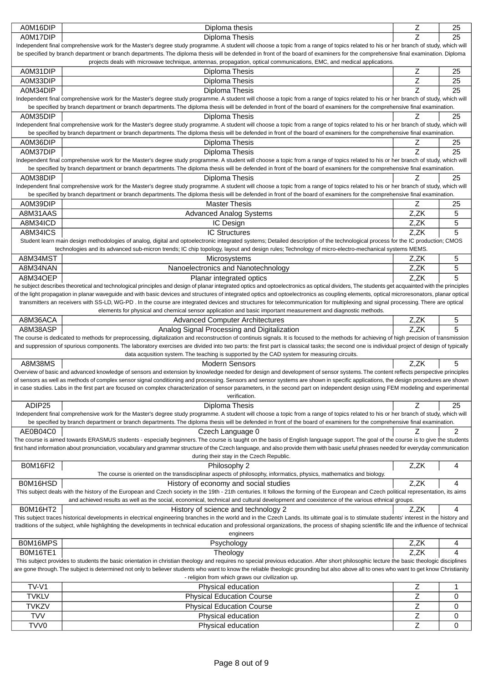| A0M16DIP                                                                                                                                                                                                                                     | Diploma thesis                                                                                                                                                                                                                                                                                                                                                                            | Ζ    | 25 |  |
|----------------------------------------------------------------------------------------------------------------------------------------------------------------------------------------------------------------------------------------------|-------------------------------------------------------------------------------------------------------------------------------------------------------------------------------------------------------------------------------------------------------------------------------------------------------------------------------------------------------------------------------------------|------|----|--|
| A0M17DIP                                                                                                                                                                                                                                     | Diploma Thesis                                                                                                                                                                                                                                                                                                                                                                            | Z    | 25 |  |
|                                                                                                                                                                                                                                              | Independent final comprehensive work for the Master's degree study programme. A student will choose a topic from a range of topics related to his or her branch of study, which will                                                                                                                                                                                                      |      |    |  |
|                                                                                                                                                                                                                                              | be specified by branch department or branch departments. The diploma thesis will be defended in front of the board of examiners for the comprehensive final examination. Diploma                                                                                                                                                                                                          |      |    |  |
|                                                                                                                                                                                                                                              | projects deals with microwave technique, antennas, propagation, optical communications, EMC, and medical applications.                                                                                                                                                                                                                                                                    |      |    |  |
| A0M31DIP                                                                                                                                                                                                                                     | Diploma Thesis                                                                                                                                                                                                                                                                                                                                                                            | Ζ    | 25 |  |
| A0M33DIP                                                                                                                                                                                                                                     | Diploma Thesis                                                                                                                                                                                                                                                                                                                                                                            | Z    | 25 |  |
| A0M34DIP                                                                                                                                                                                                                                     | Diploma Thesis                                                                                                                                                                                                                                                                                                                                                                            | Z    | 25 |  |
|                                                                                                                                                                                                                                              | Independent final comprehensive work for the Master's degree study programme. A student will choose a topic from a range of topics related to his or her branch of study, which will<br>be specified by branch department or branch departments. The diploma thesis will be defended in front of the board of examiners for the comprehensive final examination.                          |      |    |  |
| A0M35DIP                                                                                                                                                                                                                                     | Diploma Thesis                                                                                                                                                                                                                                                                                                                                                                            |      | 25 |  |
|                                                                                                                                                                                                                                              | Independent final comprehensive work for the Master's degree study programme. A student will choose a topic from a range of topics related to his or her branch of study, which will                                                                                                                                                                                                      |      |    |  |
|                                                                                                                                                                                                                                              | be specified by branch department or branch departments. The diploma thesis will be defended in front of the board of examiners for the comprehensive final examination.                                                                                                                                                                                                                  |      |    |  |
| A0M36DIP                                                                                                                                                                                                                                     | Diploma Thesis                                                                                                                                                                                                                                                                                                                                                                            | Ζ    | 25 |  |
| A0M37DIP                                                                                                                                                                                                                                     | Diploma Thesis                                                                                                                                                                                                                                                                                                                                                                            | Z    | 25 |  |
|                                                                                                                                                                                                                                              | Independent final comprehensive work for the Master's degree study programme. A student will choose a topic from a range of topics related to his or her branch of study, which will                                                                                                                                                                                                      |      |    |  |
|                                                                                                                                                                                                                                              | be specified by branch department or branch departments. The diploma thesis will be defended in front of the board of examiners for the comprehensive final examination.                                                                                                                                                                                                                  |      |    |  |
| A0M38DIP                                                                                                                                                                                                                                     | Diploma Thesis                                                                                                                                                                                                                                                                                                                                                                            | Ζ    | 25 |  |
|                                                                                                                                                                                                                                              | Independent final comprehensive work for the Master's degree study programme. A student will choose a topic from a range of topics related to his or her branch of study, which will                                                                                                                                                                                                      |      |    |  |
|                                                                                                                                                                                                                                              | be specified by branch department or branch departments. The diploma thesis will be defended in front of the board of examiners for the comprehensive final examination.                                                                                                                                                                                                                  |      |    |  |
| A0M39DIP                                                                                                                                                                                                                                     | <b>Master Thesis</b>                                                                                                                                                                                                                                                                                                                                                                      | Ζ    | 25 |  |
| A8M31AAS                                                                                                                                                                                                                                     | <b>Advanced Analog Systems</b>                                                                                                                                                                                                                                                                                                                                                            | Z,ZK | 5  |  |
| A8M34ICD                                                                                                                                                                                                                                     | IC Design                                                                                                                                                                                                                                                                                                                                                                                 | Z,ZK | 5  |  |
| A8M34ICS                                                                                                                                                                                                                                     | <b>IC Structures</b>                                                                                                                                                                                                                                                                                                                                                                      | Z,ZK | 5  |  |
|                                                                                                                                                                                                                                              | Student learn main design methodologies of analog, digital and optoelectronic integrated systems; Detailed description of the technological process for the IC production; CMOS<br>technologies and its advanced sub-micron trends; IC chip topology, layout and design rules; Technology of micro-electro-mechanical systems MEMS.                                                       |      |    |  |
| A8M34MST                                                                                                                                                                                                                                     | Microsystems                                                                                                                                                                                                                                                                                                                                                                              | Z,ZK | 5  |  |
| A8M34NAN                                                                                                                                                                                                                                     | Nanoelectronics and Nanotechnology                                                                                                                                                                                                                                                                                                                                                        | Z,ZK | 5  |  |
| A8M34OEP                                                                                                                                                                                                                                     | Planar integrated optics                                                                                                                                                                                                                                                                                                                                                                  | Z,ZK | 5  |  |
|                                                                                                                                                                                                                                              | he subject describes theoretical and technological principles and design of planar integrated optics and optoelectronics as optical dividers, The students get acquainted with the principles                                                                                                                                                                                             |      |    |  |
|                                                                                                                                                                                                                                              | of the light propagation in planar waveguide and with basic devices and structures of integrated optics and optoelectronics as coupling elements, optical microresonators, planar optical                                                                                                                                                                                                 |      |    |  |
|                                                                                                                                                                                                                                              | transmitters an receivers with SS-LD, WG-PD . In the course are integrated devices and structures for telecommunication for multiplexing and signal processing. There are optical                                                                                                                                                                                                         |      |    |  |
|                                                                                                                                                                                                                                              | elements for physical and chemical sensor application and basic important measurement and diagnostic methods.                                                                                                                                                                                                                                                                             |      |    |  |
| A8M36ACA                                                                                                                                                                                                                                     | <b>Advanced Computer Architectures</b>                                                                                                                                                                                                                                                                                                                                                    | Z,ZK | 5  |  |
| A8M38ASP                                                                                                                                                                                                                                     | Analog Signal Processing and Digitalization                                                                                                                                                                                                                                                                                                                                               | Z,ZK | 5  |  |
|                                                                                                                                                                                                                                              | The course is dedicated to methods for preprocessing, digitalization and reconstruction of continuis signals. It is focused to the methods for achieving of high precision of transmission<br>and suppression of spurious components. The laboratory exercises are divided into two parts: the first part is classical tasks; the second one is individual project of design of typically |      |    |  |
|                                                                                                                                                                                                                                              | data acqusition system. The teaching is supported by the CAD system for measuring circuits.                                                                                                                                                                                                                                                                                               |      |    |  |
| A8M38MS                                                                                                                                                                                                                                      | <b>Modern Sensors</b>                                                                                                                                                                                                                                                                                                                                                                     | Z,ZK | 5  |  |
|                                                                                                                                                                                                                                              | Overview of basic and advanced knowledge of sensors and extension by knowledge needed for design and development of sensor systems. The content reflects perspective principles                                                                                                                                                                                                           |      |    |  |
|                                                                                                                                                                                                                                              | of sensors as well as methods of complex sensor signal conditioning and processing. Sensors and sensor systems are shown in specific applications, the design procedures are shown                                                                                                                                                                                                        |      |    |  |
|                                                                                                                                                                                                                                              | in case studies. Labs in the first part are focused on complex characterization of sensor parameters, in the second part on independent design using FEM modeling and experimental                                                                                                                                                                                                        |      |    |  |
|                                                                                                                                                                                                                                              | verification.                                                                                                                                                                                                                                                                                                                                                                             |      |    |  |
| ADIP25                                                                                                                                                                                                                                       | Diploma Thesis<br>Independent final comprehensive work for the Master's degree study programme. A student will choose a topic from a range of topics related to his or her branch of study, which will                                                                                                                                                                                    | Ζ    | 25 |  |
|                                                                                                                                                                                                                                              | be specified by branch department or branch departments. The diploma thesis will be defended in front of the board of examiners for the comprehensive final examination.                                                                                                                                                                                                                  |      |    |  |
| AE0B04C0                                                                                                                                                                                                                                     | Czech Language 0                                                                                                                                                                                                                                                                                                                                                                          |      | 2  |  |
|                                                                                                                                                                                                                                              | The course is aimed towards ERASMUS students - especially beginners. The course is taught on the basis of English language support. The goal of the course is to give the students                                                                                                                                                                                                        |      |    |  |
|                                                                                                                                                                                                                                              | first hand information about pronunciation, vocabulary and grammar structure of the Czech language, and also provide them with basic useful phrases needed for everyday communication                                                                                                                                                                                                     |      |    |  |
|                                                                                                                                                                                                                                              | during their stay in the Czech Republic.                                                                                                                                                                                                                                                                                                                                                  |      |    |  |
| B0M16FI2                                                                                                                                                                                                                                     | Philosophy 2                                                                                                                                                                                                                                                                                                                                                                              | Z,ZK | 4  |  |
|                                                                                                                                                                                                                                              | The course is oriented on the transdisciplinar aspects of philosophy, informatics, physics, mathematics and biology.                                                                                                                                                                                                                                                                      |      |    |  |
| B0M16HSD                                                                                                                                                                                                                                     | History of economy and social studies                                                                                                                                                                                                                                                                                                                                                     | Z,ZK | 4  |  |
|                                                                                                                                                                                                                                              | This subject deals with the history of the European and Czech society in the 19th - 21th centuries. It follows the forming of the European and Czech political representation, its aims<br>and achieved results as well as the social, economical, technical and cultural development and coexistence of the various ethnical groups.                                                     |      |    |  |
| B0M16HT2                                                                                                                                                                                                                                     | History of science and technology 2                                                                                                                                                                                                                                                                                                                                                       | Z,ZK | 4  |  |
|                                                                                                                                                                                                                                              | This subject traces historical developments in electrical engineering branches in the world and in the Czech Lands. Its ultimate goal is to stimulate students' interest in the history and                                                                                                                                                                                               |      |    |  |
|                                                                                                                                                                                                                                              | traditions of the subject, while highlighting the developments in technical education and professional organizations, the process of shaping scientific life and the influence of technical                                                                                                                                                                                               |      |    |  |
|                                                                                                                                                                                                                                              | engineers                                                                                                                                                                                                                                                                                                                                                                                 |      |    |  |
| B0M16MPS                                                                                                                                                                                                                                     | Psychology                                                                                                                                                                                                                                                                                                                                                                                | Z,ZK | 4  |  |
| <b>B0M16TE1</b>                                                                                                                                                                                                                              | Theology                                                                                                                                                                                                                                                                                                                                                                                  | Z,ZK | 4  |  |
| This subject provides to students the basic orientation in christian theology and requires no special previous education. After short philosophic lecture the basic theologic disciplines                                                    |                                                                                                                                                                                                                                                                                                                                                                                           |      |    |  |
| are gone through. The subject is determined not only to believer students who want to know the reliable theologic grounding but also above all to ones who want to get know Christianity<br>- religion from which graws our civilization up. |                                                                                                                                                                                                                                                                                                                                                                                           |      |    |  |
| TV-V1                                                                                                                                                                                                                                        | Physical education                                                                                                                                                                                                                                                                                                                                                                        | Ζ    | 1  |  |
| <b>TVKLV</b>                                                                                                                                                                                                                                 | <b>Physical Education Course</b>                                                                                                                                                                                                                                                                                                                                                          | Ζ    | 0  |  |
| <b>TVKZV</b>                                                                                                                                                                                                                                 | <b>Physical Education Course</b>                                                                                                                                                                                                                                                                                                                                                          | Ζ    | 0  |  |
| <b>TVV</b>                                                                                                                                                                                                                                   | Physical education                                                                                                                                                                                                                                                                                                                                                                        | Ζ    | 0  |  |
|                                                                                                                                                                                                                                              |                                                                                                                                                                                                                                                                                                                                                                                           |      |    |  |
| TVV0                                                                                                                                                                                                                                         | Physical education                                                                                                                                                                                                                                                                                                                                                                        | Z    | 0  |  |